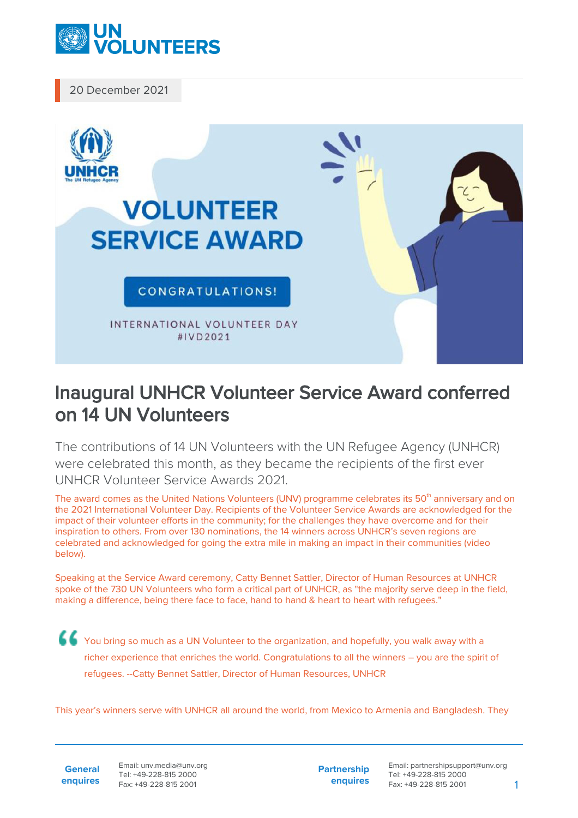

20 December 2021



## Inaugural UNHCR Volunteer Service Award conferred on 14 UN Volunteers

The contributions of 14 UN Volunteers with the UN Refugee Agency (UNHCR) were celebrated this month, as they became the recipients of the first ever UNHCR Volunteer Service Awards 2021.

The award comes as the United Nations Volunteers (UNV) programme celebrates its 50<sup>th</sup> anniversary and on the 2021 International Volunteer Day. Recipients of the Volunteer Service Awards are acknowledged for the impact of their volunteer efforts in the community; for the challenges they have overcome and for their inspiration to others. From over 130 nominations, the 14 winners across UNHCR's seven regions are celebrated and acknowledged for going the extra mile in making an impact in their communities (video below).

Speaking at the Service Award ceremony, Catty Bennet Sattler, Director of Human Resources at UNHCR spoke of the 730 UN Volunteers who form a critical part of UNHCR, as "the majority serve deep in the field, making a difference, being there face to face, hand to hand & heart to heart with refugees."

You bring so much as a UN Volunteer to the organization, and hopefully, you walk away with a richer experience that enriches the world. Congratulations to all the winners – you are the spirit of refugees. --Catty Bennet Sattler, Director of Human Resources, UNHCR

This year's winners serve with UNHCR all around the world, from Mexico to Armenia and Bangladesh. They

**General enquires** Email: unv.media@unv.org Tel: +49-228-815 2000 Fax: +49-228-815 2001

**Partnership enquires** Email: partnershipsupport@unv.org Tel: +49-228-815 2000 Fax: +49-228-815 2001 1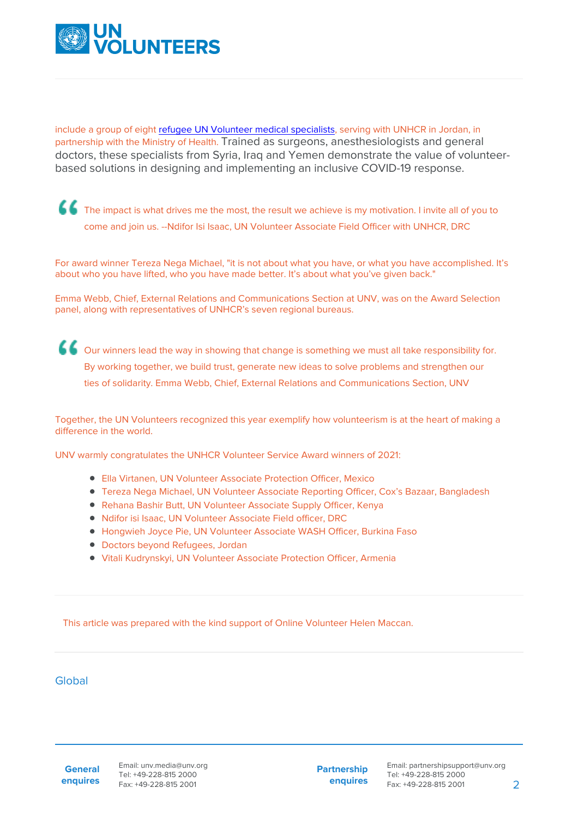

include a group of eight [refugee UN Volunteer medical specialists,](https://www.unv.org/news/refugee-un-volunteer-medics-join-jordanian-covid-19-response) serving with UNHCR in Jordan, in partnership with the Ministry of Health. Trained as surgeons, anesthesiologists and general doctors, these specialists from Syria, Iraq and Yemen demonstrate the value of volunteerbased solutions in designing and implementing an inclusive COVID-19 response.

The impact is what drives me the most, the result we achieve is my motivation. I invite all of you to come and join us. --Ndifor Isi Isaac, UN Volunteer Associate Field Officer with UNHCR, DRC

For award winner Tereza Nega Michael, "it is not about what you have, or what you have accomplished. It's about who you have lifted, who you have made better. It's about what you've given back."

Emma Webb, Chief, External Relations and Communications Section at UNV, was on the Award Selection panel, along with representatives of UNHCR's seven regional bureaus.

Our winners lead the way in showing that change is something we must all take responsibility for. By working together, we build trust, generate new ideas to solve problems and strengthen our ties of solidarity. Emma Webb, Chief, External Relations and Communications Section, UNV

Together, the UN Volunteers recognized this year exemplify how volunteerism is at the heart of making a difference in the world.

UNV warmly congratulates the UNHCR Volunteer Service Award winners of 2021:

- Ella Virtanen, UN Volunteer Associate Protection Officer, Mexico
- Tereza Nega Michael, UN Volunteer Associate Reporting Officer, Cox's Bazaar, Bangladesh
- Rehana Bashir Butt, UN Volunteer Associate Supply Officer, Kenya
- Ndifor isi Isaac, UN Volunteer Associate Field officer, DRC
- Hongwieh Joyce Pie, UN Volunteer Associate WASH Officer, Burkina Faso
- Doctors beyond Refugees, Jordan
- Vitali Kudrynskyi, UN Volunteer Associate Protection Officer, Armenia

This article was prepared with the kind support of Online Volunteer Helen Maccan.

## Global

**General enquires** **Partnership enquires**

Email: partnershipsupport@unv.org Tel: +49-228-815 2000 Fax: +49-228-815 2001 2